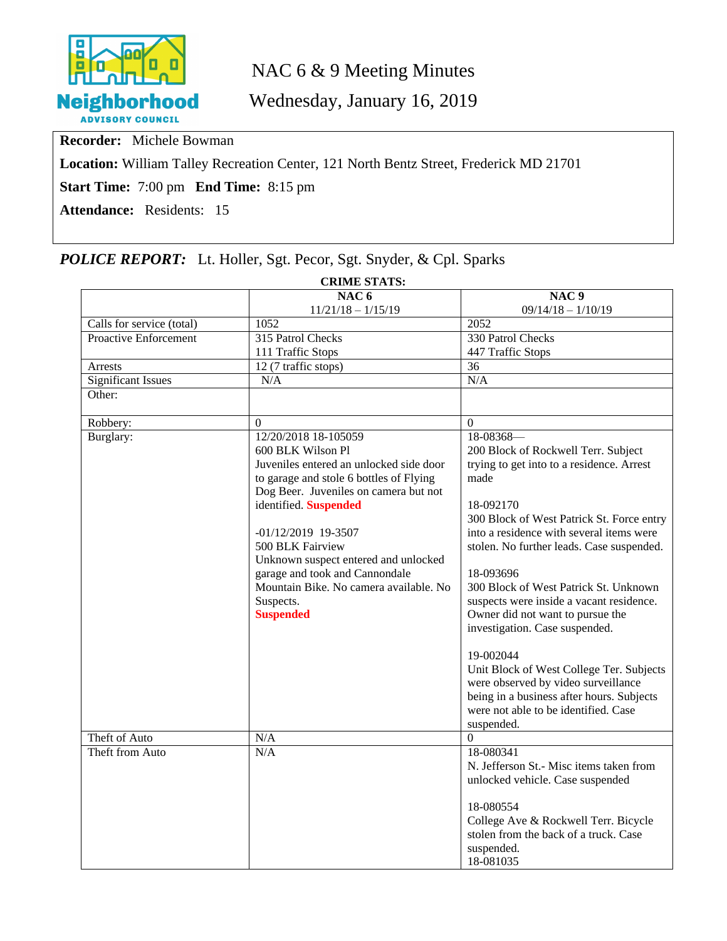

# NAC 6 & 9 Meeting Minutes

Wednesday, January 16, 2019

**Recorder:** Michele Bowman

**Location:** William Talley Recreation Center, 121 North Bentz Street, Frederick MD 21701

**Start Time:** 7:00 pm **End Time:** 8:15 pm

**Attendance:** Residents: 15

## *POLICE REPORT:* Lt. Holler, Sgt. Pecor, Sgt. Snyder, & Cpl. Sparks

| <b>CRIME STATS:</b>       |                                         |                                           |  |
|---------------------------|-----------------------------------------|-------------------------------------------|--|
|                           | NAC <sub>6</sub>                        | NAC <sub>9</sub>                          |  |
|                           | $11/21/18 - 1/15/19$                    | $09/14/18 - 1/10/19$                      |  |
| Calls for service (total) | 1052                                    | 2052                                      |  |
| Proactive Enforcement     | 315 Patrol Checks                       | 330 Patrol Checks                         |  |
|                           | 111 Traffic Stops                       | 447 Traffic Stops                         |  |
| Arrests                   | 12 (7 traffic stops)                    | 36                                        |  |
| <b>Significant Issues</b> | N/A                                     | N/A                                       |  |
| Other:                    |                                         |                                           |  |
| Robbery:                  | $\mathbf{0}$                            | $\Omega$                                  |  |
| Burglary:                 | 12/20/2018 18-105059                    | 18-08368-                                 |  |
|                           | 600 BLK Wilson Pl                       | 200 Block of Rockwell Terr. Subject       |  |
|                           | Juveniles entered an unlocked side door | trying to get into to a residence. Arrest |  |
|                           | to garage and stole 6 bottles of Flying | made                                      |  |
|                           | Dog Beer. Juveniles on camera but not   |                                           |  |
|                           | identified. Suspended                   | 18-092170                                 |  |
|                           |                                         | 300 Block of West Patrick St. Force entry |  |
|                           | $-01/12/2019$ 19-3507                   | into a residence with several items were  |  |
|                           | 500 BLK Fairview                        | stolen. No further leads. Case suspended. |  |
|                           | Unknown suspect entered and unlocked    |                                           |  |
|                           | garage and took and Cannondale          | 18-093696                                 |  |
|                           | Mountain Bike. No camera available. No  | 300 Block of West Patrick St. Unknown     |  |
|                           | Suspects.                               | suspects were inside a vacant residence.  |  |
|                           | <b>Suspended</b>                        | Owner did not want to pursue the          |  |
|                           |                                         | investigation. Case suspended.            |  |
|                           |                                         | 19-002044                                 |  |
|                           |                                         | Unit Block of West College Ter. Subjects  |  |
|                           |                                         | were observed by video surveillance       |  |
|                           |                                         | being in a business after hours. Subjects |  |
|                           |                                         | were not able to be identified. Case      |  |
|                           |                                         | suspended.                                |  |
| Theft of Auto             | N/A                                     | $\overline{0}$                            |  |
| Theft from Auto           | N/A                                     | 18-080341                                 |  |
|                           |                                         | N. Jefferson St.- Misc items taken from   |  |
|                           |                                         | unlocked vehicle. Case suspended          |  |
|                           |                                         |                                           |  |
|                           |                                         | 18-080554                                 |  |
|                           |                                         | College Ave & Rockwell Terr. Bicycle      |  |
|                           |                                         | stolen from the back of a truck. Case     |  |
|                           |                                         | suspended.                                |  |
|                           |                                         | 18-081035                                 |  |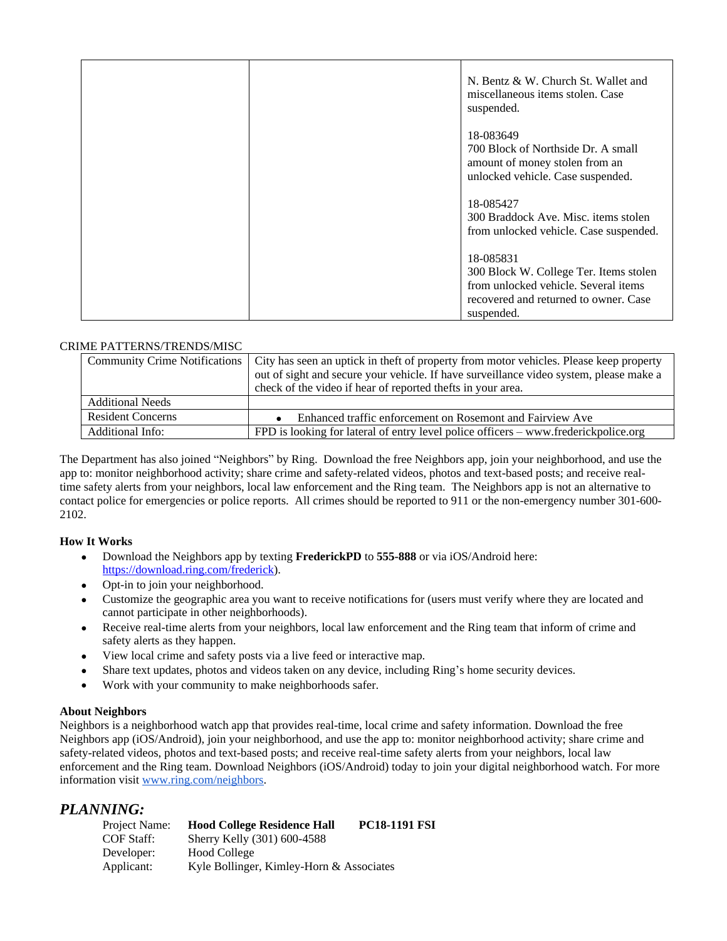| N. Bentz & W. Church St. Wallet and<br>miscellaneous items stolen. Case |
|-------------------------------------------------------------------------|
| suspended.                                                              |
| 18-083649<br>700 Block of Northside Dr. A small                         |
| amount of money stolen from an<br>unlocked vehicle. Case suspended.     |
| 18-085427<br>300 Braddock Ave. Misc. items stolen                       |
| from unlocked vehicle. Case suspended.                                  |
| 18-085831                                                               |
| 300 Block W. College Ter. Items stolen                                  |
| from unlocked vehicle. Several items                                    |
| recovered and returned to owner. Case<br>suspended.                     |

#### CRIME PATTERNS/TRENDS/MISC

|                          | Community Crime Notifications   City has seen an uptick in the ft of property from motor vehicles. Please keep property |  |
|--------------------------|-------------------------------------------------------------------------------------------------------------------------|--|
|                          | out of sight and secure your vehicle. If have surveillance video system, please make a                                  |  |
|                          | check of the video if hear of reported thefts in your area.                                                             |  |
| <b>Additional Needs</b>  |                                                                                                                         |  |
| <b>Resident Concerns</b> | Enhanced traffic enforcement on Rosemont and Fairview Ave                                                               |  |
| Additional Info:         | FPD is looking for lateral of entry level police officers – www.frederickpolice.org                                     |  |

The Department has also joined "Neighbors" by Ring. Download the free Neighbors app, join your neighborhood, and use the app to: monitor neighborhood activity; share crime and safety-related videos, photos and text-based posts; and receive realtime safety alerts from your neighbors, local law enforcement and the Ring team. The Neighbors app is not an alternative to contact police for emergencies or police reports. All crimes should be reported to 911 or the non-emergency number 301-600- 2102.

#### **How It Works**

- Download the Neighbors app by texting **FrederickPD** to **555-888** or via iOS/Android here: [https://download.ring.com/frederick\)](https://download.ring.com/frederick).
- Opt-in to join your neighborhood.
- Customize the geographic area you want to receive notifications for (users must verify where they are located and cannot participate in other neighborhoods).
- Receive real-time alerts from your neighbors, local law enforcement and the Ring team that inform of crime and safety alerts as they happen.
- View local crime and safety posts via a live feed or interactive map.
- Share text updates, photos and videos taken on any device, including Ring's home security devices.
- Work with your community to make neighborhoods safer.

#### **About Neighbors**

Neighbors is a neighborhood watch app that provides real-time, local crime and safety information. Download the free Neighbors app (iOS/Android), join your neighborhood, and use the app to: monitor neighborhood activity; share crime and safety-related videos, photos and text-based posts; and receive real-time safety alerts from your neighbors, local law enforcement and the Ring team. Download Neighbors (iOS/Android) today to join your digital neighborhood watch. For more information visit [www.ring.com/neighbors](http://www.ring.com/neighbors).

#### *PLANNING:*

| Project Name: | <b>Hood College Residence Hall</b>       | <b>PC18-1191 FSI</b> |
|---------------|------------------------------------------|----------------------|
| COF Staff:    | Sherry Kelly (301) 600-4588              |                      |
| Developer:    | Hood College                             |                      |
| Applicant:    | Kyle Bollinger, Kimley-Horn & Associates |                      |